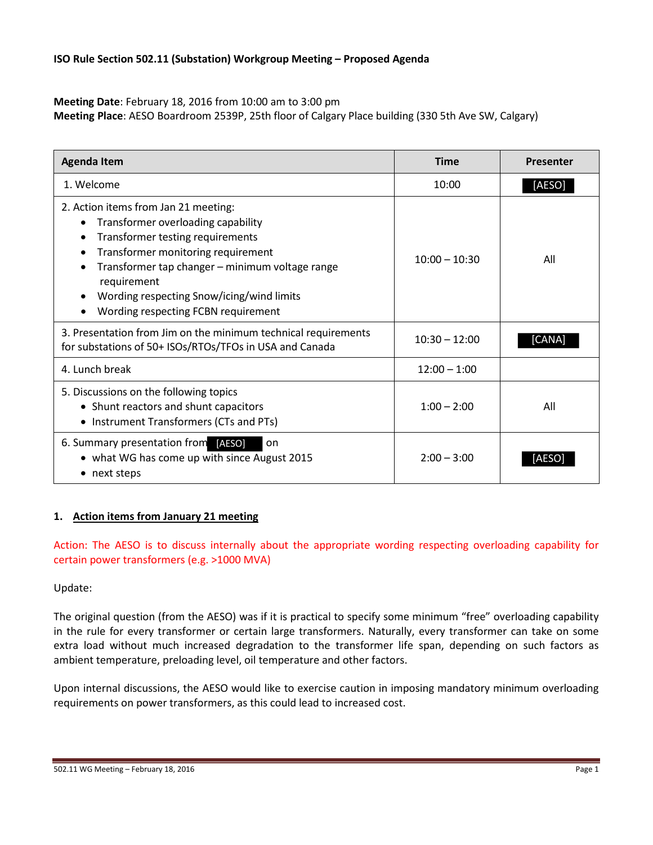**Meeting Date**: February 18, 2016 from 10:00 am to 3:00 pm

**Meeting Place**: AESO Boardroom 2539P, 25th floor of Calgary Place building (330 5th Ave SW, Calgary)

| <b>Agenda Item</b>                                                                                                                                                                                                                                                                                         | <b>Time</b>     | <b>Presenter</b> |
|------------------------------------------------------------------------------------------------------------------------------------------------------------------------------------------------------------------------------------------------------------------------------------------------------------|-----------------|------------------|
| 1. Welcome                                                                                                                                                                                                                                                                                                 | 10:00           | [AESO]           |
| 2. Action items from Jan 21 meeting:<br>Transformer overloading capability<br>Transformer testing requirements<br>Transformer monitoring requirement<br>Transformer tap changer - minimum voltage range<br>requirement<br>Wording respecting Snow/icing/wind limits<br>Wording respecting FCBN requirement | $10:00 - 10:30$ | All              |
| 3. Presentation from Jim on the minimum technical requirements<br>for substations of 50+ ISOs/RTOs/TFOs in USA and Canada                                                                                                                                                                                  | $10:30 - 12:00$ | [CANA]           |
| 4. Lunch break                                                                                                                                                                                                                                                                                             | $12:00 - 1:00$  |                  |
| 5. Discussions on the following topics<br>• Shunt reactors and shunt capacitors<br>• Instrument Transformers (CTs and PTs)                                                                                                                                                                                 | $1:00 - 2:00$   | All              |
| 6. Summary presentation from [AESO]<br>on<br>• what WG has come up with since August 2015<br>• next steps                                                                                                                                                                                                  | $2:00 - 3:00$   | IAESO            |

# **1. Action items from January 21 meeting**

Action: The AESO is to discuss internally about the appropriate wording respecting overloading capability for certain power transformers (e.g. >1000 MVA)

# Update:

The original question (from the AESO) was if it is practical to specify some minimum "free" overloading capability in the rule for every transformer or certain large transformers. Naturally, every transformer can take on some extra load without much increased degradation to the transformer life span, depending on such factors as ambient temperature, preloading level, oil temperature and other factors.

Upon internal discussions, the AESO would like to exercise caution in imposing mandatory minimum overloading requirements on power transformers, as this could lead to increased cost.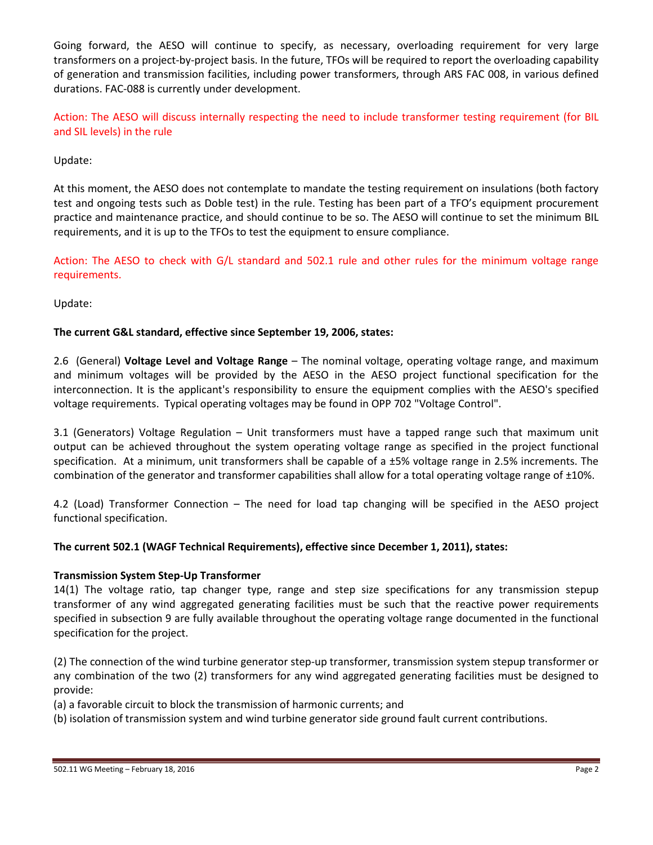Going forward, the AESO will continue to specify, as necessary, overloading requirement for very large transformers on a project-by-project basis. In the future, TFOs will be required to report the overloading capability of generation and transmission facilities, including power transformers, through ARS FAC 008, in various defined durations. FAC-088 is currently under development.

Action: The AESO will discuss internally respecting the need to include transformer testing requirement (for BIL and SIL levels) in the rule

# Update:

At this moment, the AESO does not contemplate to mandate the testing requirement on insulations (both factory test and ongoing tests such as Doble test) in the rule. Testing has been part of a TFO's equipment procurement practice and maintenance practice, and should continue to be so. The AESO will continue to set the minimum BIL requirements, and it is up to the TFOs to test the equipment to ensure compliance.

Action: The AESO to check with G/L standard and 502.1 rule and other rules for the minimum voltage range requirements.

Update:

# **The current G&L standard, effective since September 19, 2006, states:**

2.6 (General) **Voltage Level and Voltage Range** – The nominal voltage, operating voltage range, and maximum and minimum voltages will be provided by the AESO in the AESO project functional specification for the interconnection. It is the applicant's responsibility to ensure the equipment complies with the AESO's specified voltage requirements. Typical operating voltages may be found in OPP 702 "Voltage Control".

3.1 (Generators) Voltage Regulation – Unit transformers must have a tapped range such that maximum unit output can be achieved throughout the system operating voltage range as specified in the project functional specification. At a minimum, unit transformers shall be capable of a  $\pm$ 5% voltage range in 2.5% increments. The combination of the generator and transformer capabilities shall allow for a total operating voltage range of  $\pm 10$ %.

4.2 (Load) Transformer Connection – The need for load tap changing will be specified in the AESO project functional specification.

## **The current 502.1 (WAGF Technical Requirements), effective since December 1, 2011), states:**

## **Transmission System Step-Up Transformer**

14(1) The voltage ratio, tap changer type, range and step size specifications for any transmission stepup transformer of any wind aggregated generating facilities must be such that the reactive power requirements specified in subsection 9 are fully available throughout the operating voltage range documented in the functional specification for the project.

(2) The connection of the wind turbine generator step-up transformer, transmission system stepup transformer or any combination of the two (2) transformers for any wind aggregated generating facilities must be designed to provide:

(a) a favorable circuit to block the transmission of harmonic currents; and

(b) isolation of transmission system and wind turbine generator side ground fault current contributions.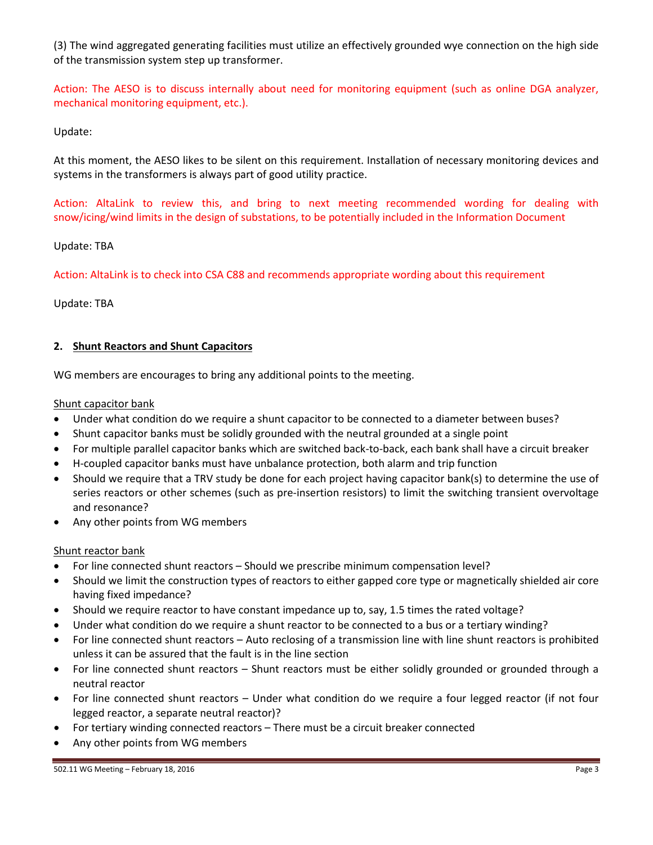(3) The wind aggregated generating facilities must utilize an effectively grounded wye connection on the high side of the transmission system step up transformer.

Action: The AESO is to discuss internally about need for monitoring equipment (such as online DGA analyzer, mechanical monitoring equipment, etc.).

Update:

At this moment, the AESO likes to be silent on this requirement. Installation of necessary monitoring devices and systems in the transformers is always part of good utility practice.

Action: AltaLink to review this, and bring to next meeting recommended wording for dealing with snow/icing/wind limits in the design of substations, to be potentially included in the Information Document

Update: TBA

Action: AltaLink is to check into CSA C88 and recommends appropriate wording about this requirement

Update: TBA

## **2. Shunt Reactors and Shunt Capacitors**

WG members are encourages to bring any additional points to the meeting.

Shunt capacitor bank

- Under what condition do we require a shunt capacitor to be connected to a diameter between buses?
- Shunt capacitor banks must be solidly grounded with the neutral grounded at a single point
- For multiple parallel capacitor banks which are switched back-to-back, each bank shall have a circuit breaker
- H-coupled capacitor banks must have unbalance protection, both alarm and trip function
- Should we require that a TRV study be done for each project having capacitor bank(s) to determine the use of series reactors or other schemes (such as pre-insertion resistors) to limit the switching transient overvoltage and resonance?
- Any other points from WG members

## Shunt reactor bank

- For line connected shunt reactors Should we prescribe minimum compensation level?
- Should we limit the construction types of reactors to either gapped core type or magnetically shielded air core having fixed impedance?
- Should we require reactor to have constant impedance up to, say, 1.5 times the rated voltage?
- Under what condition do we require a shunt reactor to be connected to a bus or a tertiary winding?
- For line connected shunt reactors Auto reclosing of a transmission line with line shunt reactors is prohibited unless it can be assured that the fault is in the line section
- For line connected shunt reactors Shunt reactors must be either solidly grounded or grounded through a neutral reactor
- For line connected shunt reactors Under what condition do we require a four legged reactor (if not four legged reactor, a separate neutral reactor)?
- For tertiary winding connected reactors There must be a circuit breaker connected
- Any other points from WG members